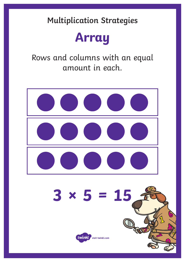

Rows and columns with an equal amount in each.

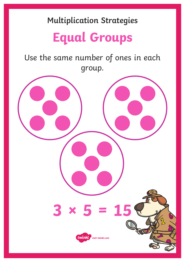# **Equal Groups**

Use the same number of ones in each group.

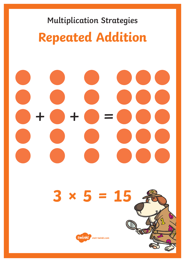# **Multiplication Strategies Repeated Addition**

# $+$   $+$   $\odot$  =

# **3 × 5 = 15**

**ALS** 

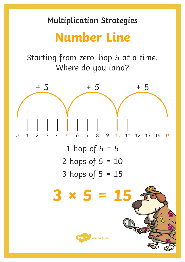## **Number Line**

Starting from zero, hop 5 at a time. Where do you land?

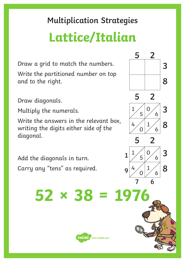# **Lattice/Italian**

Draw a grid to match the numbers. Write the partitioned number on top and to the right.

Draw diagonals.

Multiply the numerals.

Write the answers in the relevant box, writing the digits either side of the diagonal.

Add the diagonals in turn. Carry any "tens" as required.



**5 2**

**3**

**8**

twinkl visit twinkl.com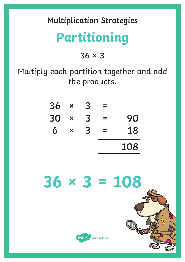# **Partitioning**

**36 × 3**

Multiply each partition together and add the products.

| $\boldsymbol{\mathsf{x}}$ | 3 |          |     |
|---------------------------|---|----------|-----|
| $\bm{x}$                  | 3 | $\equiv$ | 90  |
| ×                         | 3 | $\equiv$ | 18  |
|                           |   |          | 108 |
|                           |   |          |     |

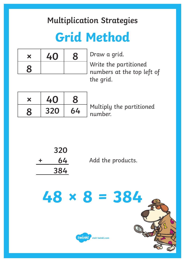# **Grid Method**

| $\bm{x}$     | 40 | 8 |
|--------------|----|---|
| $\mathbf{g}$ |    |   |

Draw a grid.

Write the partitioned numbers at the top left of the grid.

| X | 40  |    |
|---|-----|----|
|   | 320 | 64 |

Multiply the partitioned number.

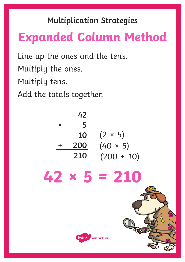# **Expanded Column Method**

Line up the ones and the tens. Multiply the ones. Multiply tens.

Add the totals together.

| 42<br>5<br>×<br>10<br>200<br>210 | $(2 \times 5)$<br>$(40 * 5)$<br>$(200 + 10)$ |
|----------------------------------|----------------------------------------------|
| $42 \times 5 = 210$              |                                              |
| twinkl visit twinkl.com          |                                              |